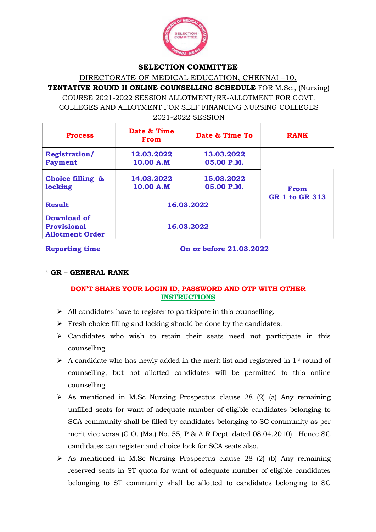

### SELECTION COMMITTEE

DIRECTORATE OF MEDICAL EDUCATION, CHENNAI –10.

TENTATIVE ROUND II ONLINE COUNSELLING SCHEDULE FOR M.Sc., (Nursing) COURSE 2021-2022 SESSION ALLOTMENT/RE-ALLOTMENT FOR GOVT. COLLEGES AND ALLOTMENT FOR SELF FINANCING NURSING COLLEGES 2021-2022 SESSION

| <b>Process</b>                                                     | Date & Time<br><b>From</b> | Date & Time To           | <b>RANK</b>           |
|--------------------------------------------------------------------|----------------------------|--------------------------|-----------------------|
| <b>Registration/</b><br><b>Payment</b>                             | 12.03.2022<br>10.00 A.M    | 13.03.2022<br>05.00 P.M. | From                  |
| Choice filling &<br>locking                                        | 14.03.2022<br>10.00 A.M    | 15.03.2022<br>05.00 P.M. |                       |
| <b>Result</b>                                                      | 16.03.2022                 |                          | <b>GR 1 to GR 313</b> |
| <b>Download of</b><br><b>Provisional</b><br><b>Allotment Order</b> | 16.03.2022                 |                          |                       |
| <b>Reporting time</b>                                              | On or before 21.03.2022    |                          |                       |

# \* GR – GENERAL RANK

# DON'T SHARE YOUR LOGIN ID, PASSWORD AND OTP WITH OTHER **INSTRUCTIONS**

- $\triangleright$  All candidates have to register to participate in this counselling.
- $\triangleright$  Fresh choice filling and locking should be done by the candidates.
- $\triangleright$  Candidates who wish to retain their seats need not participate in this counselling.
- $\triangleright$  A candidate who has newly added in the merit list and registered in 1<sup>st</sup> round of counselling, but not allotted candidates will be permitted to this online counselling.
- $\triangleright$  As mentioned in M.Sc Nursing Prospectus clause 28 (2) (a) Any remaining unfilled seats for want of adequate number of eligible candidates belonging to SCA community shall be filled by candidates belonging to SC community as per merit vice versa (G.O. (Ms.) No. 55, P & A R Dept. dated 08.04.2010). Hence SC candidates can register and choice lock for SCA seats also.
- $\triangleright$  As mentioned in M.Sc Nursing Prospectus clause 28 (2) (b) Any remaining reserved seats in ST quota for want of adequate number of eligible candidates belonging to ST community shall be allotted to candidates belonging to SC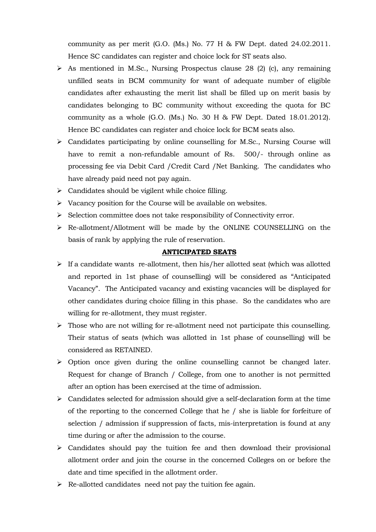community as per merit (G.O. (Ms.) No. 77 H & FW Dept. dated 24.02.2011. Hence SC candidates can register and choice lock for ST seats also.

- $\triangleright$  As mentioned in M.Sc., Nursing Prospectus clause 28 (2) (c), any remaining unfilled seats in BCM community for want of adequate number of eligible candidates after exhausting the merit list shall be filled up on merit basis by candidates belonging to BC community without exceeding the quota for BC community as a whole (G.O. (Ms.) No. 30 H & FW Dept. Dated 18.01.2012). Hence BC candidates can register and choice lock for BCM seats also.
- $\triangleright$  Candidates participating by online counselling for M.Sc., Nursing Course will have to remit a non-refundable amount of Rs. 500/- through online as processing fee via Debit Card /Credit Card /Net Banking. The candidates who have already paid need not pay again.
- $\triangleright$  Candidates should be vigilent while choice filling.
- $\triangleright$  Vacancy position for the Course will be available on websites.
- $\triangleright$  Selection committee does not take responsibility of Connectivity error.
- Re-allotment/Allotment will be made by the ONLINE COUNSELLING on the basis of rank by applying the rule of reservation.

#### ANTICIPATED SEATS

- $\triangleright$  If a candidate wants re-allotment, then his/her allotted seat (which was allotted and reported in 1st phase of counselling) will be considered as "Anticipated Vacancy". The Anticipated vacancy and existing vacancies will be displayed for other candidates during choice filling in this phase. So the candidates who are willing for re-allotment, they must register.
- $\triangleright$  Those who are not willing for re-allotment need not participate this counselling. Their status of seats (which was allotted in 1st phase of counselling) will be considered as RETAINED.
- $\triangleright$  Option once given during the online counselling cannot be changed later. Request for change of Branch / College, from one to another is not permitted after an option has been exercised at the time of admission.
- $\triangleright$  Candidates selected for admission should give a self-declaration form at the time of the reporting to the concerned College that he / she is liable for forfeiture of selection / admission if suppression of facts, mis-interpretation is found at any time during or after the admission to the course.
- $\triangleright$  Candidates should pay the tuition fee and then download their provisional allotment order and join the course in the concerned Colleges on or before the date and time specified in the allotment order.
- $\triangleright$  Re-allotted candidates need not pay the tuition fee again.